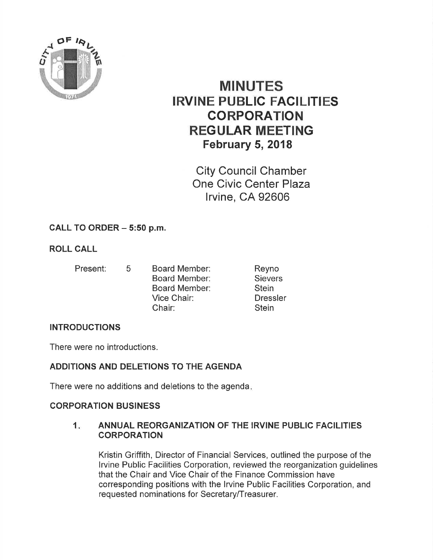

# MINUTES IRVINE PUBLIC FAGILITIES CORPORATION REGULAR MEETING February 5, 2018

City Council Chamber One Civic Center Plaza lrvine, CA 92606

# CALL TO ORDER  $-5:50$  p.m.

# ROLL CALL

- 
- Present: 5 Board Member: Board Member: Board Member: Vice Chair: Chair:

Reyno **Sievers Stein Dressler Stein** 

# INTRODUCTIONS

There were no introductions.

# ADDITIONS AND DELETIONS TO THE AGENDA

There were no additions and deletions to the agenda

# CORPORATION BUSINESS

## 1. ANNUAL REORGANIZATION OF THE IRVINE PUBLIC FACILITIES **CORPORATION**

Kristin Griffith, Director of Financial Services, outlined the purpose of the lrvine Public Facilities Corporation, reviewed the reorganization guidelines that the Chair and Vice Chair of the Finance Commission have corresponding positions with the lrvine Public Facilities Corporation, and requested nominations for Secretary/Treasurer.